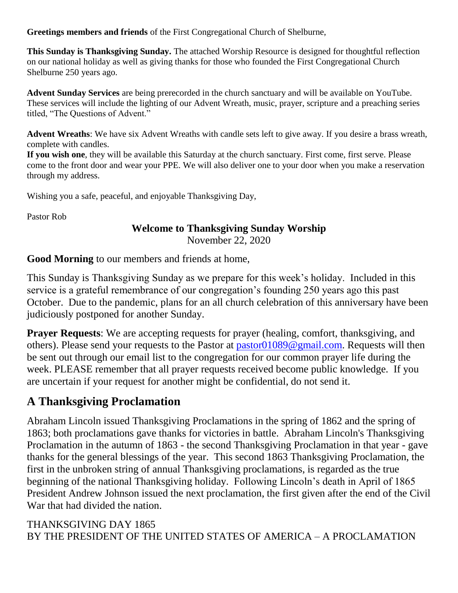**Greetings members and friends** of the First Congregational Church of Shelburne,

**This Sunday is Thanksgiving Sunday.** The attached Worship Resource is designed for thoughtful reflection on our national holiday as well as giving thanks for those who founded the First Congregational Church Shelburne 250 years ago.

**Advent Sunday Services** are being prerecorded in the church sanctuary and will be available on YouTube. These services will include the lighting of our Advent Wreath, music, prayer, scripture and a preaching series titled, "The Questions of Advent."

**Advent Wreaths**: We have six Advent Wreaths with candle sets left to give away. If you desire a brass wreath, complete with candles.

**If you wish one**, they will be available this Saturday at the church sanctuary. First come, first serve. Please come to the front door and wear your PPE. We will also deliver one to your door when you make a reservation through my address.

Wishing you a safe, peaceful, and enjoyable Thanksgiving Day,

Pastor Rob

# **Welcome to Thanksgiving Sunday Worship**

November 22, 2020

**Good Morning** to our members and friends at home,

This Sunday is Thanksgiving Sunday as we prepare for this week's holiday. Included in this service is a grateful remembrance of our congregation's founding 250 years ago this past October. Due to the pandemic, plans for an all church celebration of this anniversary have been judiciously postponed for another Sunday.

**Prayer Requests**: We are accepting requests for prayer (healing, comfort, thanksgiving, and others). Please send your requests to the Pastor at [pastor01089@gmail.com.](mailto:pastor01089@gmail.com) Requests will then be sent out through our email list to the congregation for our common prayer life during the week. PLEASE remember that all prayer requests received become public knowledge. If you are uncertain if your request for another might be confidential, do not send it.

## **A Thanksgiving Proclamation**

Abraham Lincoln issued Thanksgiving Proclamations in the spring of 1862 and the spring of 1863; both proclamations gave thanks for victories in battle. Abraham Lincoln's Thanksgiving Proclamation in the autumn of 1863 - the second Thanksgiving Proclamation in that year - gave thanks for the general blessings of the year. This second 1863 Thanksgiving Proclamation, the first in the unbroken string of annual Thanksgiving proclamations, is regarded as the true beginning of the national Thanksgiving holiday. Following Lincoln's death in April of 1865 President Andrew Johnson issued the next proclamation, the first given after the end of the Civil War that had divided the nation.

### THANKSGIVING DAY 1865 BY THE PRESIDENT OF THE UNITED STATES OF AMERICA – A PROCLAMATION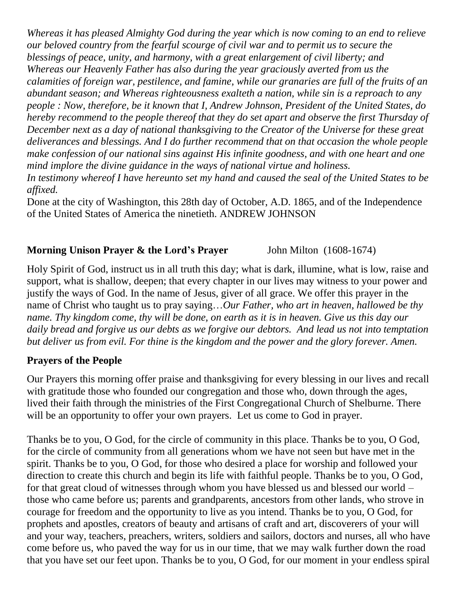*Whereas it has pleased Almighty God during the year which is now coming to an end to relieve our beloved country from the fearful scourge of civil war and to permit us to secure the blessings of peace, unity, and harmony, with a great enlargement of civil liberty; and Whereas our Heavenly Father has also during the year graciously averted from us the calamities of foreign war, pestilence, and famine, while our granaries are full of the fruits of an abundant season; and Whereas righteousness exalteth a nation, while sin is a reproach to any people : Now, therefore, be it known that I, Andrew Johnson, President of the United States, do hereby recommend to the people thereof that they do set apart and observe the first Thursday of December next as a day of national thanksgiving to the Creator of the Universe for these great deliverances and blessings. And I do further recommend that on that occasion the whole people make confession of our national sins against His infinite goodness, and with one heart and one mind implore the divine guidance in the ways of national virtue and holiness. In testimony whereof I have hereunto set my hand and caused the seal of the United States to be affixed.*

Done at the city of Washington, this 28th day of October, A.D. 1865, and of the Independence of the United States of America the ninetieth. ANDREW JOHNSON

## **Morning Unison Prayer & the Lord's Prayer** John Milton (1608-1674)

Holy Spirit of God, instruct us in all truth this day; what is dark, illumine, what is low, raise and support, what is shallow, deepen; that every chapter in our lives may witness to your power and justify the ways of God. In the name of Jesus, giver of all grace. We offer this prayer in the name of Christ who taught us to pray saying…*Our Father, who art in heaven, hallowed be thy name. Thy kingdom come, thy will be done, on earth as it is in heaven. Give us this day our daily bread and forgive us our debts as we forgive our debtors. And lead us not into temptation but deliver us from evil. For thine is the kingdom and the power and the glory forever. Amen.*

### **Prayers of the People**

Our Prayers this morning offer praise and thanksgiving for every blessing in our lives and recall with gratitude those who founded our congregation and those who, down through the ages, lived their faith through the ministries of the First Congregational Church of Shelburne. There will be an opportunity to offer your own prayers. Let us come to God in prayer.

Thanks be to you, O God, for the circle of community in this place. Thanks be to you, O God, for the circle of community from all generations whom we have not seen but have met in the spirit. Thanks be to you, O God, for those who desired a place for worship and followed your direction to create this church and begin its life with faithful people. Thanks be to you, O God, for that great cloud of witnesses through whom you have blessed us and blessed our world – those who came before us; parents and grandparents, ancestors from other lands, who strove in courage for freedom and the opportunity to live as you intend. Thanks be to you, O God, for prophets and apostles, creators of beauty and artisans of craft and art, discoverers of your will and your way, teachers, preachers, writers, soldiers and sailors, doctors and nurses, all who have come before us, who paved the way for us in our time, that we may walk further down the road that you have set our feet upon. Thanks be to you, O God, for our moment in your endless spiral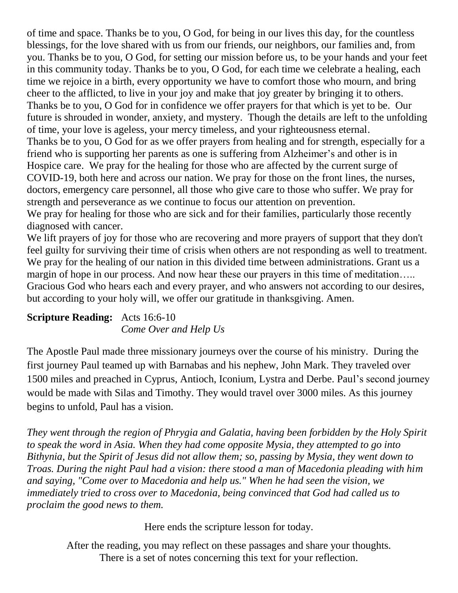of time and space. Thanks be to you, O God, for being in our lives this day, for the countless blessings, for the love shared with us from our friends, our neighbors, our families and, from you. Thanks be to you, O God, for setting our mission before us, to be your hands and your feet in this community today. Thanks be to you, O God, for each time we celebrate a healing, each time we rejoice in a birth, every opportunity we have to comfort those who mourn, and bring cheer to the afflicted, to live in your joy and make that joy greater by bringing it to others. Thanks be to you, O God for in confidence we offer prayers for that which is yet to be. Our future is shrouded in wonder, anxiety, and mystery. Though the details are left to the unfolding of time, your love is ageless, your mercy timeless, and your righteousness eternal. Thanks be to you, O God for as we offer prayers from healing and for strength, especially for a friend who is supporting her parents as one is suffering from Alzheimer's and other is in Hospice care. We pray for the healing for those who are affected by the current surge of COVID-19, both here and across our nation. We pray for those on the front lines, the nurses, doctors, emergency care personnel, all those who give care to those who suffer. We pray for strength and perseverance as we continue to focus our attention on prevention. We pray for healing for those who are sick and for their families, particularly those recently diagnosed with cancer.

We lift prayers of joy for those who are recovering and more prayers of support that they don't feel guilty for surviving their time of crisis when others are not responding as well to treatment. We pray for the healing of our nation in this divided time between administrations. Grant us a margin of hope in our process. And now hear these our prayers in this time of meditation.... Gracious God who hears each and every prayer, and who answers not according to our desires, but according to your holy will, we offer our gratitude in thanksgiving. Amen.

#### **Scripture Reading:** Acts 16:6-10 *Come Over and Help Us*

The Apostle Paul made three missionary journeys over the course of his ministry. During the first journey Paul teamed up with Barnabas and his nephew, John Mark. They traveled over 1500 miles and preached in Cyprus, Antioch, Iconium, Lystra and Derbe. Paul's second journey would be made with Silas and Timothy. They would travel over 3000 miles. As this journey begins to unfold, Paul has a vision.

*They went through the region of Phrygia and Galatia, having been forbidden by the Holy Spirit to speak the word in Asia. When they had come opposite Mysia, they attempted to go into Bithynia, but the Spirit of Jesus did not allow them; so, passing by Mysia, they went down to Troas. During the night Paul had a vision: there stood a man of Macedonia pleading with him and saying, "Come over to Macedonia and help us." When he had seen the vision, we immediately tried to cross over to Macedonia, being convinced that God had called us to proclaim the good news to them.*

Here ends the scripture lesson for today.

After the reading, you may reflect on these passages and share your thoughts. There is a set of notes concerning this text for your reflection.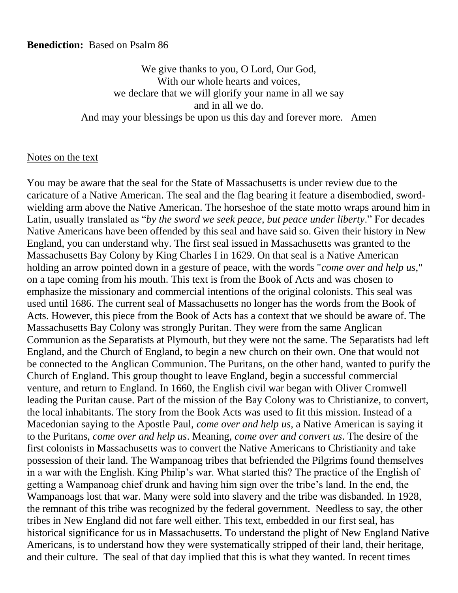#### **Benediction:** Based on Psalm 86

We give thanks to you, O Lord, Our God, With our whole hearts and voices, we declare that we will glorify your name in all we say and in all we do. And may your blessings be upon us this day and forever more. Amen

#### Notes on the text

You may be aware that the seal for the State of Massachusetts is under review due to the caricature of a Native American. The seal and the flag bearing it feature a disembodied, swordwielding arm above the Native American. The horseshoe of the state motto wraps around him in Latin, usually translated as "*by the sword we seek peace, but peace under liberty*." For decades Native Americans have been offended by this seal and have said so. Given their history in New England, you can understand why. The first seal issued in Massachusetts was granted to the Massachusetts Bay Colony by King Charles I in 1629. On that seal is a Native American holding an arrow pointed down in a gesture of peace, with the words "*come over and help us*," on a tape coming from his mouth. This text is from the Book of Acts and was chosen to emphasize the missionary and commercial intentions of the original colonists. This seal was used until 1686. The current seal of Massachusetts no longer has the words from the Book of Acts. However, this piece from the Book of Acts has a context that we should be aware of. The Massachusetts Bay Colony was strongly Puritan. They were from the same Anglican Communion as the Separatists at Plymouth, but they were not the same. The Separatists had left England, and the Church of England, to begin a new church on their own. One that would not be connected to the Anglican Communion. The Puritans, on the other hand, wanted to purify the Church of England. This group thought to leave England, begin a successful commercial venture, and return to England. In 1660, the English civil war began with Oliver Cromwell leading the Puritan cause. Part of the mission of the Bay Colony was to Christianize, to convert, the local inhabitants. The story from the Book Acts was used to fit this mission. Instead of a Macedonian saying to the Apostle Paul, *come over and help us,* a Native American is saying it to the Puritans, *come over and help us*. Meaning, *come over and convert us*. The desire of the first colonists in Massachusetts was to convert the Native Americans to Christianity and take possession of their land. The Wampanoag tribes that befriended the Pilgrims found themselves in a war with the English. King Philip's war. What started this? The practice of the English of getting a Wampanoag chief drunk and having him sign over the tribe's land. In the end, the Wampanoags lost that war. Many were sold into slavery and the tribe was disbanded. In 1928, the remnant of this tribe was recognized by the federal government. Needless to say, the other tribes in New England did not fare well either. This text, embedded in our first seal, has historical significance for us in Massachusetts. To understand the plight of New England Native Americans, is to understand how they were systematically stripped of their land, their heritage, and their culture. The seal of that day implied that this is what they wanted. In recent times